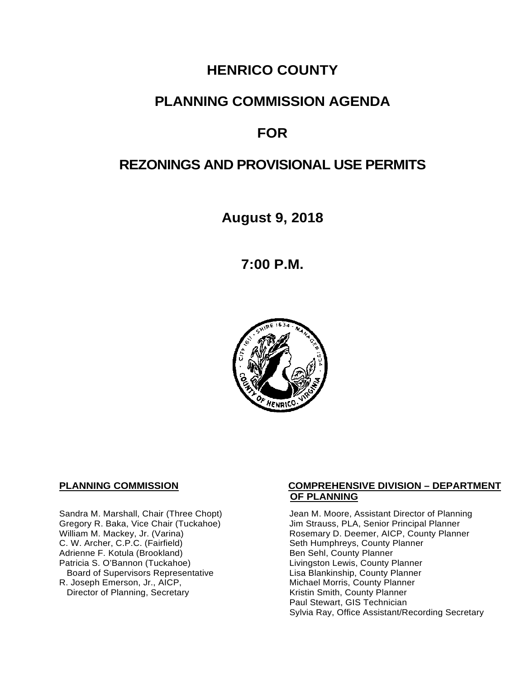# **HENRICO COUNTY**

# **PLANNING COMMISSION AGENDA**

# **FOR**

# **REZONINGS AND PROVISIONAL USE PERMITS**

**August 9, 2018**

**7:00 P.M.**



C. W. Archer, C.P.C. (Fairfield) Seth Humphreys, County I<br>Adrienne F. Kotula (Brookland) Seth Humphreys, County Planner Adrienne F. Kotula (Brookland)<br>Patricia S. O'Bannon (Tuckahoe) Board of Supervisors Representative<br>R. Joseph Emerson, Jr., AICP, Director of Planning, Secretary

#### **PLANNING COMMISSION COMPREHENSIVE DIVISION – DEPARTMENT OF PLANNING**

Sandra M. Marshall, Chair (Three Chopt) Jean M. Moore, Assistant Director of Planning<br>Gregory R. Baka, Vice Chair (Tuckahoe) Jim Strauss, PLA, Senior Principal Planner Gregory R. Baka, Vice Chair (Tuckahoe) *Jim Strauss, PLA, Senior Principal Planner*<br>William M. Mackey, Jr. (Varina) **Macking Principal Planner** Rosemary D. Deemer, AICP, County Planner Rosemary D. Deemer, AICP, County Planner<br>Seth Humphreys, County Planner Livingston Lewis, County Planner<br>Lisa Blankinship, County Planner Michael Morris, County Planner<br>Kristin Smith, County Planner Paul Stewart, GIS Technician Sylvia Ray, Office Assistant/Recording Secretary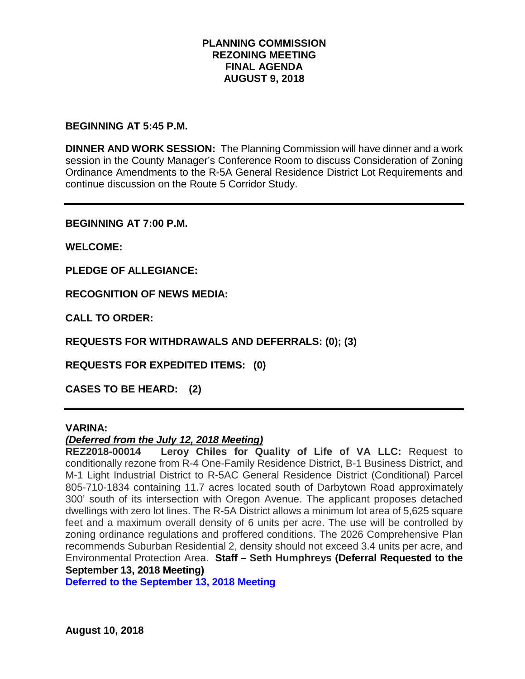## **PLANNING COMMISSION REZONING MEETING FINAL AGENDA AUGUST 9, 2018**

#### **BEGINNING AT 5:45 P.M.**

**DINNER AND WORK SESSION:** The Planning Commission will have dinner and a work session in the County Manager's Conference Room to discuss Consideration of Zoning Ordinance Amendments to the R-5A General Residence District Lot Requirements and continue discussion on the Route 5 Corridor Study.

**BEGINNING AT 7:00 P.M.**

**WELCOME:**

**PLEDGE OF ALLEGIANCE:**

**RECOGNITION OF NEWS MEDIA:**

**CALL TO ORDER:**

**REQUESTS FOR WITHDRAWALS AND DEFERRALS: (0); (3)**

**REQUESTS FOR EXPEDITED ITEMS: (0)**

**CASES TO BE HEARD: (2)**

### **VARINA:**

### *(Deferred from the July 12, 2018 Meeting)*

**REZ2018-00014 Leroy Chiles for Quality of Life of VA LLC:** Request to conditionally rezone from R-4 One-Family Residence District, B-1 Business District, and M-1 Light Industrial District to R-5AC General Residence District (Conditional) Parcel 805-710-1834 containing 11.7 acres located south of Darbytown Road approximately 300' south of its intersection with Oregon Avenue. The applicant proposes detached dwellings with zero lot lines. The R-5A District allows a minimum lot area of 5,625 square feet and a maximum overall density of 6 units per acre. The use will be controlled by zoning ordinance regulations and proffered conditions. The 2026 Comprehensive Plan recommends Suburban Residential 2, density should not exceed 3.4 units per acre, and Environmental Protection Area. **Staff – Seth Humphreys (Deferral Requested to the September 13, 2018 Meeting)**

**Deferred to the September 13, 2018 Meeting**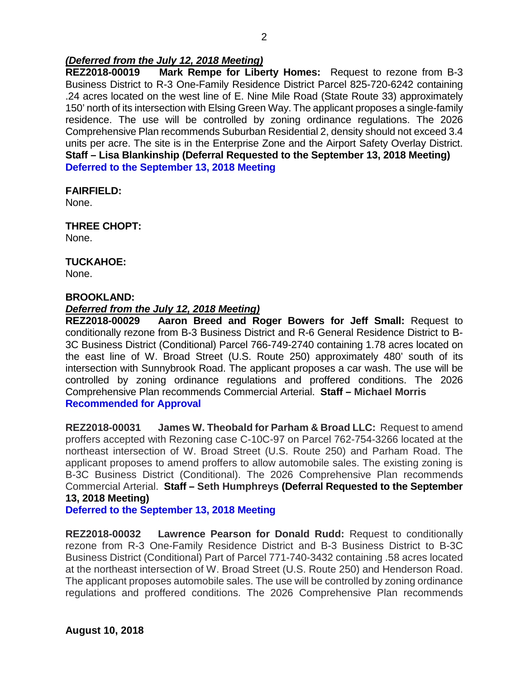## *(Deferred from the July 12, 2018 Meeting)*

**REZ2018-00019 Mark Rempe for Liberty Homes:** Request to rezone from B-3 Business District to R-3 One-Family Residence District Parcel 825-720-6242 containing .24 acres located on the west line of E. Nine Mile Road (State Route 33) approximately 150' north of its intersection with Elsing Green Way. The applicant proposes a single-family residence. The use will be controlled by zoning ordinance regulations. The 2026 Comprehensive Plan recommends Suburban Residential 2, density should not exceed 3.4 units per acre. The site is in the Enterprise Zone and the Airport Safety Overlay District. **Staff – Lisa Blankinship (Deferral Requested to the September 13, 2018 Meeting) Deferred to the September 13, 2018 Meeting**

#### **FAIRFIELD:**

None.

# **THREE CHOPT:**

None.

## **TUCKAHOE:**

None.

#### **BROOKLAND:**

## *Deferred from the July 12, 2018 Meeting)*

**REZ2018-00029 Aaron Breed and Roger Bowers for Jeff Small:** Request to conditionally rezone from B-3 Business District and R-6 General Residence District to B-3C Business District (Conditional) Parcel 766-749-2740 containing 1.78 acres located on the east line of W. Broad Street (U.S. Route 250) approximately 480' south of its intersection with Sunnybrook Road. The applicant proposes a car wash. The use will be controlled by zoning ordinance regulations and proffered conditions. The 2026 Comprehensive Plan recommends Commercial Arterial. **Staff – Michael Morris Recommended for Approval**

**REZ2018-00031 James W. Theobald for Parham & Broad LLC:** Request to amend proffers accepted with Rezoning case C-10C-97 on Parcel 762-754-3266 located at the northeast intersection of W. Broad Street (U.S. Route 250) and Parham Road. The applicant proposes to amend proffers to allow automobile sales. The existing zoning is B-3C Business District (Conditional). The 2026 Comprehensive Plan recommends Commercial Arterial. **Staff – Seth Humphreys (Deferral Requested to the September 13, 2018 Meeting)**

**Deferred to the September 13, 2018 Meeting**

**REZ2018-00032 Lawrence Pearson for Donald Rudd:** Request to conditionally rezone from R-3 One-Family Residence District and B-3 Business District to B-3C Business District (Conditional) Part of Parcel 771-740-3432 containing .58 acres located at the northeast intersection of W. Broad Street (U.S. Route 250) and Henderson Road. The applicant proposes automobile sales. The use will be controlled by zoning ordinance regulations and proffered conditions. The 2026 Comprehensive Plan recommends